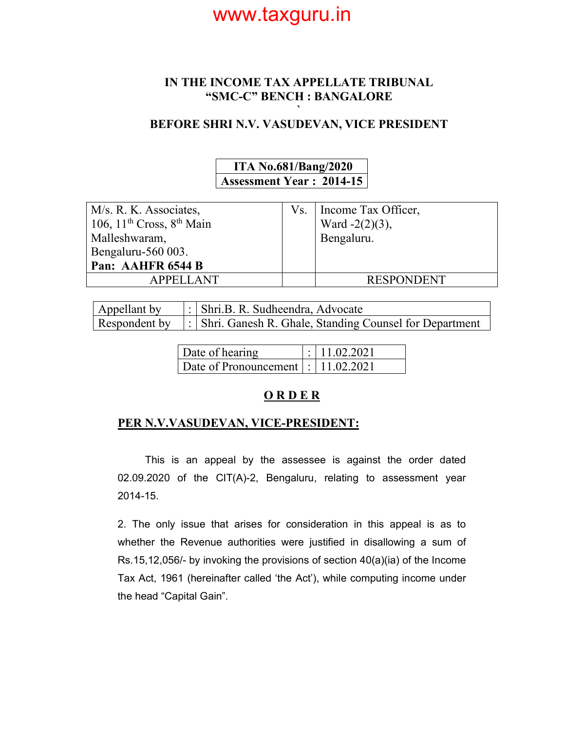#### **IN THE INCOME TAX APPELLATE TRIBUNAL "SMC-C" BENCH : BANGALORE**

#### **` BEFORE SHRI N.V. VASUDEVAN, VICE PRESIDENT**

### **ITA No.681/Bang/2020 Assessment Year : 2014-15**

| M/s. R. K. Associates,         | Vs.   Income Tax Officer, |
|--------------------------------|---------------------------|
| 106, $11th Cross$ , $8th Main$ | Ward $-2(2)(3)$ ,         |
| Malleshwaram,                  | Bengaluru.                |
| Bengaluru-560 003.             |                           |
| Pan: AAHFR 6544 B              |                           |
| <b>APPELLANT</b>               | <b>RESPONDENT</b>         |

| Appellant by  | : Shri.B. R. Sudheendra, Advocate                          |
|---------------|------------------------------------------------------------|
| Respondent by | :   Shri. Ganesh R. Ghale, Standing Counsel for Department |

| Date of hearing                        | $\mid$ : 11.02.2021 |
|----------------------------------------|---------------------|
| Date of Pronouncement   :   11.02.2021 |                     |

### **O R D E R**

#### **PER N.V.VASUDEVAN, VICE-PRESIDENT:**

 This is an appeal by the assessee is against the order dated 02.09.2020 of the CIT(A)-2, Bengaluru, relating to assessment year 2014-15.

2. The only issue that arises for consideration in this appeal is as to whether the Revenue authorities were justified in disallowing a sum of Rs.15,12,056/- by invoking the provisions of section 40(a)(ia) of the Income Tax Act, 1961 (hereinafter called 'the Act'), while computing income under the head "Capital Gain".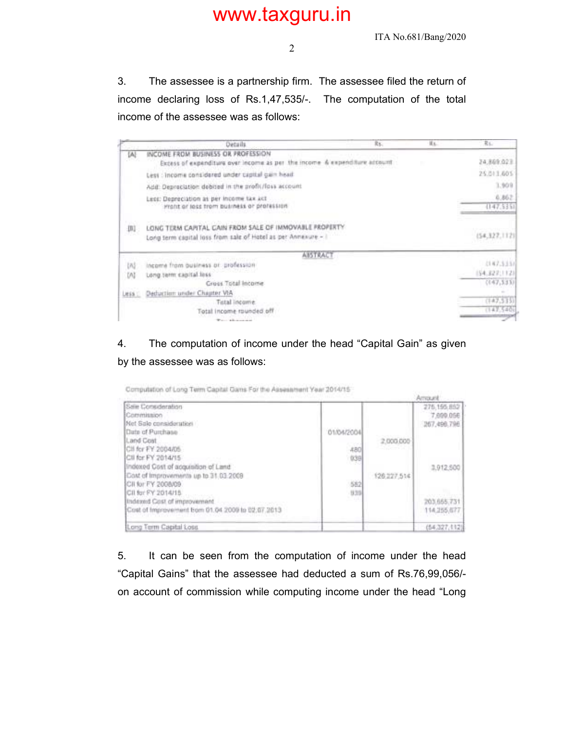ITA No.681/Bang/2020

3. The assessee is a partnership firm. The assessee filed the return of income declaring loss of Rs.1,47,535/-. The computation of the total income of the assessee was as follows:

|              | Details.                                                                                                                 | Ry. | IL. | 二尾山                   |
|--------------|--------------------------------------------------------------------------------------------------------------------------|-----|-----|-----------------------|
| [A]          | INCOME FROM BUSINESS OR PROFESSION<br>Excess of expenditure over income as per the income & expenditure account          |     |     | 24,869,023            |
|              | Less : Income considered under capital gain head.                                                                        |     |     | 25.013.605            |
|              | Add: Depreciation debtted in the profit/foss account                                                                     |     |     | 1,909                 |
|              | Legg: Depreciation as per income tax act<br>Front or loss from business or profession                                    |     |     | 6,862.<br>(147, 5351) |
| 围            | LONG TERM CAPITAL CAIN FROM SALE OF IMMOVABLE PROPERTY.<br>Long term capital loss from sale of Hotel as per Annexure - I |     |     | (54,327,112)          |
|              | <b>AISTRACT</b>                                                                                                          |     |     |                       |
| LAS          | income from business or profession                                                                                       |     |     | (147.515)             |
| M            | Long term eapital less                                                                                                   |     |     | (\$4,322,112)         |
|              | Gruss Total Income                                                                                                       |     |     | (147, 333)            |
| <b>Less:</b> | Deduction under Chapter VIA                                                                                              |     |     |                       |
|              | Total income                                                                                                             |     |     | (147,515)             |
|              | Total income rounded off                                                                                                 |     |     | (142.540)             |
|              | Warrant Address and the other                                                                                            |     |     |                       |

### 4. The computation of income under the head "Capital Gain" as given by the assessee was as follows:

Computation of Long Term Capital Gams For the Assessment Year 2014/15

| www.comp.com/winduplin/winduplin                          |            |             | Amazet                                  |
|-----------------------------------------------------------|------------|-------------|-----------------------------------------|
| Sale Consderation<br>Commission<br>Net Sale consideration |            |             | 275.195.852<br>7,000,056<br>267,490,796 |
| Date of Purchase                                          | 01/04/2004 |             |                                         |
| Land Cost                                                 |            | 2,000.000   |                                         |
| Cli for FY 2004/05<br>Cli for FY 2014/15                  | 480        |             |                                         |
| Indoxed Cost of acquisition of Land                       | 939        |             | 3,912,500                               |
| Cost of Improvements up to 31.03.2009                     |            | 126.227.514 |                                         |
| CII for FY 2008/09<br>CII for FY 2014/15                  | 582<br>939 |             |                                         |
| Indexed Cost of improvement.                              |            |             | 203,665,731                             |
| Cost of Improvement tiom 01.04 2009 to 02.07.2013         |            |             | 114,255,677                             |
| Long Term Capital Loss                                    |            |             | (54,327,112)                            |

5. It can be seen from the computation of income under the head "Capital Gains" that the assessee had deducted a sum of Rs.76,99,056/ on account of commission while computing income under the head "Long

2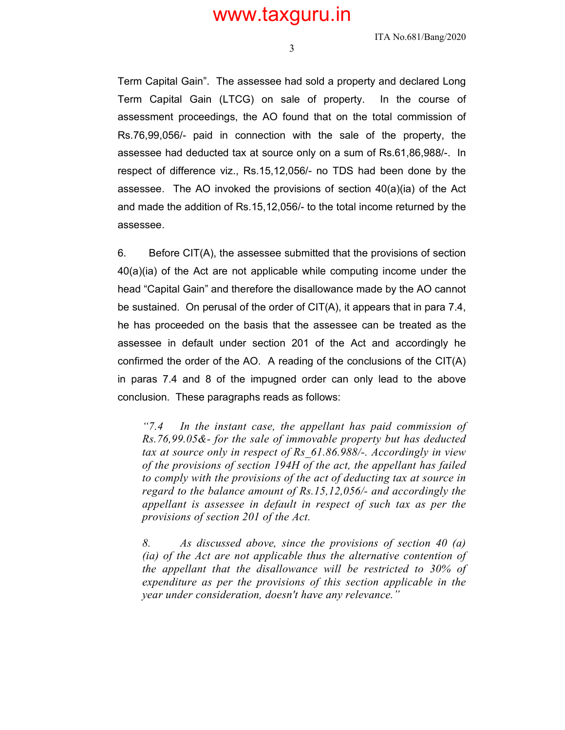ITA No.681/Bang/2020

3

Term Capital Gain". The assessee had sold a property and declared Long Term Capital Gain (LTCG) on sale of property. In the course of assessment proceedings, the AO found that on the total commission of Rs.76,99,056/- paid in connection with the sale of the property, the assessee had deducted tax at source only on a sum of Rs.61,86,988/-. In respect of difference viz., Rs.15,12,056/- no TDS had been done by the assessee. The AO invoked the provisions of section  $40(a)(ia)$  of the Act and made the addition of Rs.15,12,056/- to the total income returned by the assessee.

6. Before CIT(A), the assessee submitted that the provisions of section 40(a)(ia) of the Act are not applicable while computing income under the head "Capital Gain" and therefore the disallowance made by the AO cannot be sustained. On perusal of the order of CIT(A), it appears that in para 7.4, he has proceeded on the basis that the assessee can be treated as the assessee in default under section 201 of the Act and accordingly he confirmed the order of the AO. A reading of the conclusions of the CIT(A) in paras 7.4 and 8 of the impugned order can only lead to the above conclusion. These paragraphs reads as follows:

*"7.4 In the instant case, the appellant has paid commission of Rs.76,99.05&- for the sale of immovable property but has deducted tax at source only in respect of Rs\_61.86.988/-. Accordingly in view of the provisions of section 194H of the act, the appellant has failed to comply with the provisions of the act of deducting tax at source in regard to the balance amount of Rs.15,12,056/- and accordingly the appellant is assessee in default in respect of such tax as per the provisions of section 201 of the Act.* 

*8. As discussed above, since the provisions of section 40 (a) (ia) of the Act are not applicable thus the alternative contention of the appellant that the disallowance will be restricted to 30% of expenditure as per the provisions of this section applicable in the year under consideration, doesn't have any relevance."*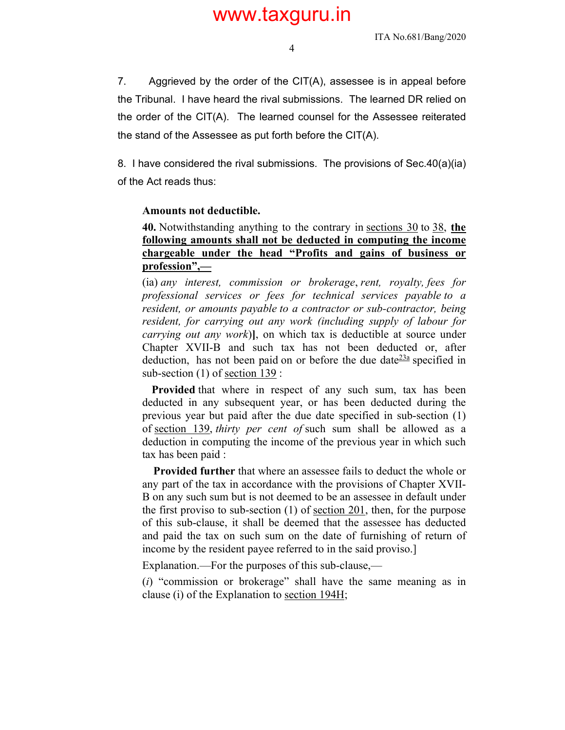4

7. Aggrieved by the order of the CIT(A), assessee is in appeal before the Tribunal. I have heard the rival submissions. The learned DR relied on the order of the CIT(A). The learned counsel for the Assessee reiterated the stand of the Assessee as put forth before the CIT(A).

8. I have considered the rival submissions. The provisions of Sec.40(a)(ia) of the Act reads thus:

#### **Amounts not deductible.**

**40.** Notwithstanding anything to the contrary in sections 30 to 38, **the following amounts shall not be deducted in computing the income chargeable under the head "Profits and gains of business or profession",—** 

(ia) *any interest, commission or brokerage*, *rent, royalty, fees for professional services or fees for technical services payable to a resident, or amounts payable to a contractor or sub-contractor, being resident, for carrying out any work (including supply of labour for carrying out any work*)**]**, on which tax is deductible at source under Chapter XVII-B and such tax has not been deducted or, after deduction, has not been paid on or before the due date $\frac{23a}{2}$  specified in sub-section (1) of section 139 :

**Provided** that where in respect of any such sum, tax has been deducted in any subsequent year, or has been deducted during the previous year but paid after the due date specified in sub-section (1) of section 139, *thirty per cent of* such sum shall be allowed as a deduction in computing the income of the previous year in which such tax has been paid :

 **Provided further** that where an assessee fails to deduct the whole or any part of the tax in accordance with the provisions of Chapter XVII-B on any such sum but is not deemed to be an assessee in default under the first proviso to sub-section (1) of section 201, then, for the purpose of this sub-clause, it shall be deemed that the assessee has deducted and paid the tax on such sum on the date of furnishing of return of income by the resident payee referred to in the said proviso.]

Explanation.—For the purposes of this sub-clause,—

(*i*) "commission or brokerage" shall have the same meaning as in clause (i) of the Explanation to section 194H;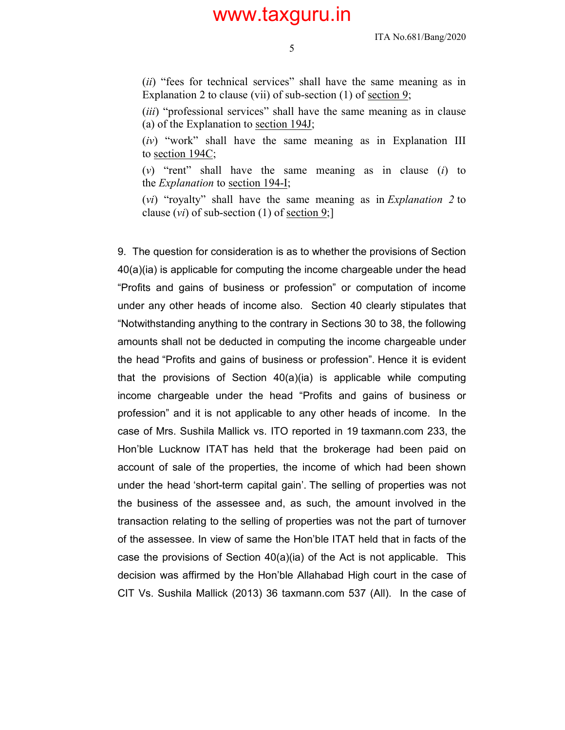ITA No.681/Bang/2020

5

(*ii*) "fees for technical services" shall have the same meaning as in Explanation 2 to clause (vii) of sub-section  $(1)$  of <u>section 9</u>;

(*iii*) "professional services" shall have the same meaning as in clause (a) of the Explanation to section 194J;

(*iv*) "work" shall have the same meaning as in Explanation III to section 194C;

(*v*) "rent" shall have the same meaning as in clause (*i*) to the *Explanation* to section 194-I;

(*vi*) "royalty" shall have the same meaning as in *Explanation 2* to clause  $(vi)$  of sub-section (1) of <u>section 9</u>;

9. The question for consideration is as to whether the provisions of Section 40(a)(ia) is applicable for computing the income chargeable under the head "Profits and gains of business or profession" or computation of income under any other heads of income also. Section 40 clearly stipulates that "Notwithstanding anything to the contrary in Sections 30 to 38, the following amounts shall not be deducted in computing the income chargeable under the head "Profits and gains of business or profession". Hence it is evident that the provisions of Section  $40(a)(ia)$  is applicable while computing income chargeable under the head "Profits and gains of business or profession" and it is not applicable to any other heads of income. In the case of Mrs. Sushila Mallick vs. ITO reported in 19 taxmann.com 233, the Hon'ble Lucknow ITAT has held that the brokerage had been paid on account of sale of the properties, the income of which had been shown under the head 'short-term capital gain'. The selling of properties was not the business of the assessee and, as such, the amount involved in the transaction relating to the selling of properties was not the part of turnover of the assessee. In view of same the Hon'ble ITAT held that in facts of the case the provisions of Section  $40(a)(ia)$  of the Act is not applicable. This decision was affirmed by the Hon'ble Allahabad High court in the case of CIT Vs. Sushila Mallick (2013) 36 taxmann.com 537 (All). In the case of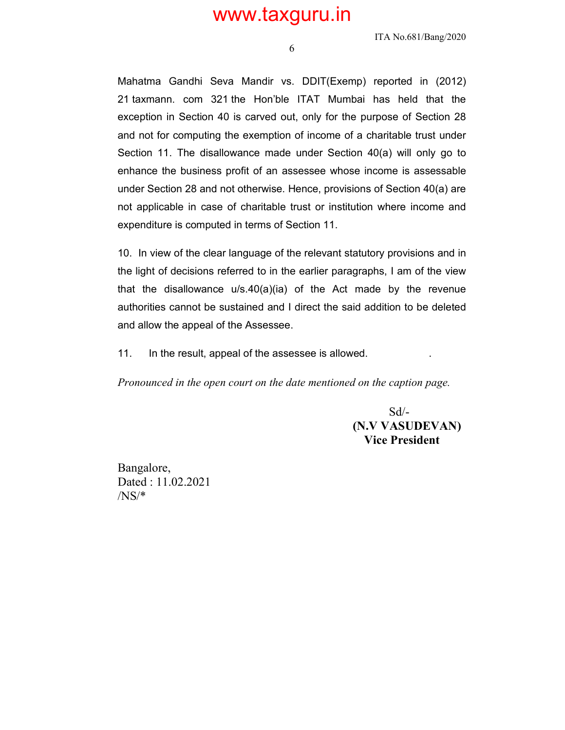ITA No.681/Bang/2020

6

Mahatma Gandhi Seva Mandir vs. DDIT(Exemp) reported in (2012) 21 taxmann. com 321 the Hon'ble ITAT Mumbai has held that the exception in Section 40 is carved out, only for the purpose of Section 28 and not for computing the exemption of income of a charitable trust under Section 11. The disallowance made under Section 40(a) will only go to enhance the business profit of an assessee whose income is assessable under Section 28 and not otherwise. Hence, provisions of Section 40(a) are not applicable in case of charitable trust or institution where income and expenditure is computed in terms of Section 11.

10. In view of the clear language of the relevant statutory provisions and in the light of decisions referred to in the earlier paragraphs, I am of the view that the disallowance  $u/s.40(a)(ia)$  of the Act made by the revenue authorities cannot be sustained and I direct the said addition to be deleted and allow the appeal of the Assessee.

11. In the result, appeal of the assessee is allowed. .

*Pronounced in the open court on the date mentioned on the caption page.*

 $Sd$ - **(B. R. BASKARAN) (N.V VASUDEVAN) Vice President** 

Bangalore, Dated : 11.02.2021 /NS/\*